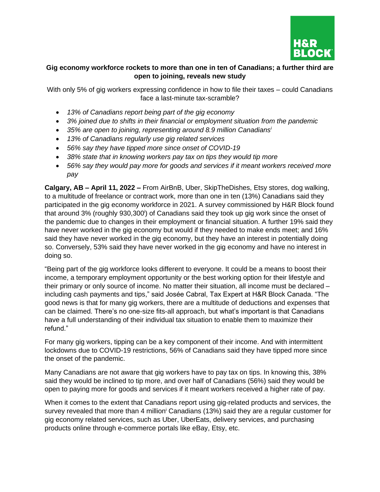

## **Gig economy workforce rockets to more than one in ten of Canadians; a further third are open to joining, reveals new study**

With only 5% of gig workers expressing confidence in how to file their taxes – could Canadians face a last-minute tax-scramble?

- *13% of Canadians report being part of the gig economy*
- *3% joined due to shifts in their financial or employment situation from the pandemic*
- *35% are open to joining, representing around 8.9 million Canadians<sup>i</sup>*
- *13% of Canadians regularly use gig related services*
- *56% say they have tipped more since onset of COVID-19*
- *38% state that in knowing workers pay tax on tips they would tip more*
- *56% say they would pay more for goods and services if it meant workers received more pay*

**Calgary, AB – April 11, 2022 –** From AirBnB, Uber, SkipTheDishes, Etsy stores, dog walking, to a multitude of freelance or contract work, more than one in ten (13%) Canadians said they participated in the gig economy workforce in 2021. A survey commissioned by H&R Block found that around 3% (roughly 930,300<sup>i</sup>) of Canadians said they took up gig work since the onset of the pandemic due to changes in their employment or financial situation. A further 19% said they have never worked in the gig economy but would if they needed to make ends meet; and 16% said they have never worked in the gig economy, but they have an interest in potentially doing so. Conversely, 53% said they have never worked in the gig economy and have no interest in doing so.

"Being part of the gig workforce looks different to everyone. It could be a means to boost their income, a temporary employment opportunity or the best working option for their lifestyle and their primary or only source of income. No matter their situation, all income must be declared – including cash payments and tips," said Josée Cabral, Tax Expert at H&R Block Canada. "The good news is that for many gig workers, there are a multitude of deductions and expenses that can be claimed. There's no one-size fits-all approach, but what's important is that Canadians have a full understanding of their individual tax situation to enable them to maximize their refund."

For many gig workers, tipping can be a key component of their income. And with intermittent lockdowns due to COVID-19 restrictions, 56% of Canadians said they have tipped more since the onset of the pandemic.

Many Canadians are not aware that gig workers have to pay tax on tips. In knowing this, 38% said they would be inclined to tip more, and over half of Canadians (56%) said they would be open to paying more for goods and services if it meant workers received a higher rate of pay.

When it comes to the extent that Canadians report using gig-related products and services, the survey revealed that more than 4 million<sup>i</sup> Canadians (13%) said they are a regular customer for gig economy related services, such as Uber, UberEats, delivery services, and purchasing products online through e-commerce portals like eBay, Etsy, etc.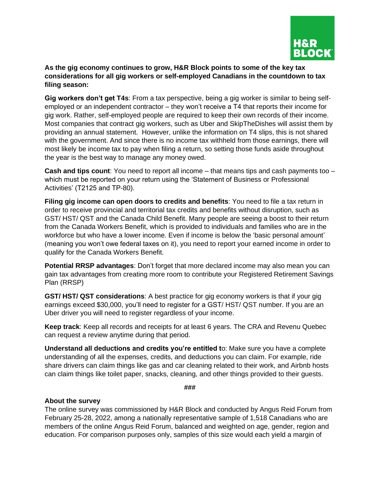

## **As the gig economy continues to grow, H&R Block points to some of the key tax considerations for all gig workers or self-employed Canadians in the countdown to tax filing season:**

**Gig workers don't get T4s**: From a tax perspective, being a gig worker is similar to being selfemployed or an independent contractor – they won't receive a T4 that reports their income for gig work. Rather, self-employed people are required to keep their own records of their income. Most companies that contract gig workers, such as Uber and SkipTheDishes will assist them by providing an annual statement. However, unlike the information on T4 slips, this is not shared with the government. And since there is no income tax withheld from those earnings, there will most likely be income tax to pay when filing a return, so setting those funds aside throughout the year is the best way to manage any money owed.

**Cash and tips count**: You need to report all income – that means tips and cash payments too – which must be reported on your return using the 'Statement of Business or Professional Activities' (T2125 and TP-80).

**Filing gig income can open doors to credits and benefits**: You need to file a tax return in order to receive provincial and territorial tax credits and benefits without disruption, such as GST/ HST/ QST and the Canada Child Benefit. Many people are seeing a boost to their return from the Canada Workers Benefit, which is provided to individuals and families who are in the workforce but who have a lower income. Even if income is below the 'basic personal amount' (meaning you won't owe federal taxes on it), you need to report your earned income in order to qualify for the Canada Workers Benefit.

**Potential RRSP advantages**: Don't forget that more declared income may also mean you can gain tax advantages from creating more room to contribute your Registered Retirement Savings Plan (RRSP)

**GST/ HST/ QST considerations**: A best practice for gig economy workers is that if your gig earnings exceed \$30,000, you'll need to register for a GST/ HST/ QST number. If you are an Uber driver you will need to register regardless of your income.

**Keep track**: Keep all records and receipts for at least 6 years. The CRA and Revenu Quebec can request a review anytime during that period.

**Understand all deductions and credits you're entitled t**o: Make sure you have a complete understanding of all the expenses, credits, and deductions you can claim. For example, ride share drivers can claim things like gas and car cleaning related to their work, and Airbnb hosts can claim things like toilet paper, snacks, cleaning, and other things provided to their guests.

**###**

## **About the survey**

The online survey was commissioned by H&R Block and conducted by Angus Reid Forum from February 25-28, 2022, among a nationally representative sample of 1,518 Canadians who are members of the online Angus Reid Forum, balanced and weighted on age, gender, region and education. For comparison purposes only, samples of this size would each yield a margin of